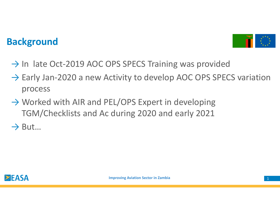## **Background**



- → In late Oct-2019 AOC OPS SPECS Training was provided
- → Early Jan-2020 a new Activity to develop AOC OPS SPECS variation<br>process process
- → Worked with AIR and PEL/OPS Expert in developing<br>
TGM/Chocklists and As during 2020 and early 2021 TGM/Checklists and Ac during 2020 and early 2021 $\rightarrow$  But...

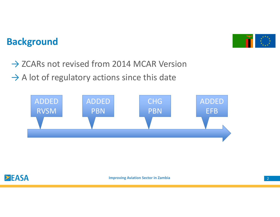### **Background**



→ ZCARs not revised from 2014 MCAR Version  $\rightarrow$  A lot of regulatory actions since this date





**Improving Aviation Sector in Zambia**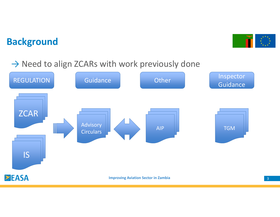### **Background**



# → Need to align ZCARs with work previously done

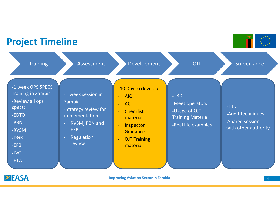#### **Project Timeline**

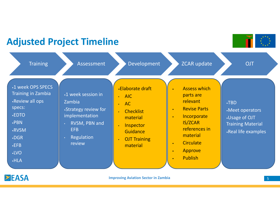#### **Adjusted Project Timeline**

Assessment Development ZCAR update OJT**Training** •1 week OPS SPECS •Elaborate draft Assess which •Training in Zambia•1 week session inparts are • AIC•Review all ops relevantZambia•TBD AC•specs: Revise Parts•Strategy review for ••Meet operators**Checklist** ••EDTO implementation**Incorporate** •Usage of OJT material••PBNIS/ZCAR RVSM, PBN and Training Material**Inspector** •references in EFB •RVSM**Guidance** •Real life examplesmaterial Regulation •DGR**OJT Training** •**Circulate** review••EFBmaterial Approve• •LVO Publish •HLA•ZEASA **Improving Aviation Sector in Zambia**a base of the contract of the contract of the contract of the contract of the contract of the contract of the contract of the contract of the contract of the contract of the contract of the contract of the contract of the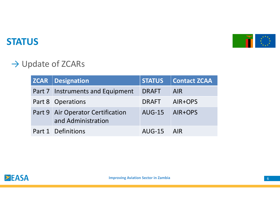

### **STATUS**

## $\rightarrow$  Update of ZCARs

| <b>ZCAR</b>   Designation                               | <b>STATUS</b> | <b>Contact ZCAA</b> |
|---------------------------------------------------------|---------------|---------------------|
| Part 7 Instruments and Equipment                        | <b>DRAFT</b>  | <b>AIR</b>          |
| Part 8 Operations                                       | <b>DRAFT</b>  | AIR+OPS             |
| Part 9 Air Operator Certification<br>and Administration | <b>AUG-15</b> | <b>AIR+OPS</b>      |
| Part 1 Definitions                                      | AUG-15 AIR    |                     |

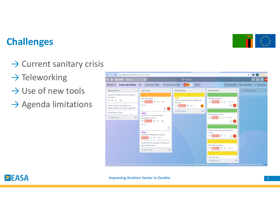#### **Challenges**

# → Current sanitary crisis

- $\rightarrow$  Teleworking
- $\rightarrow$  Use of new tools
- $\rightarrow$  Agenda limitations





**Improving Aviation Sector in Zambia**

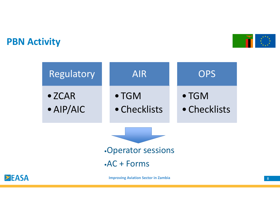### **PBN Activity**